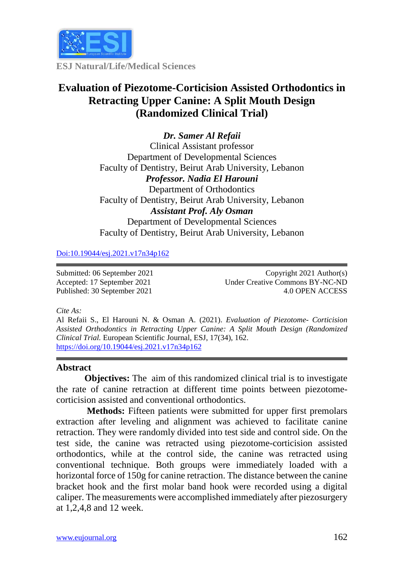

**ESJ Natural/Life/Medical Sciences**

# **Evaluation of Piezotome-Corticision Assisted Orthodontics in Retracting Upper Canine: A Split Mouth Design (Randomized Clinical Trial)**

*Dr. Samer Al Refaii* Clinical Assistant professor Department of Developmental Sciences Faculty of Dentistry, Beirut Arab University, Lebanon *Professor. Nadia El Harouni*  Department of Orthodontics Faculty of Dentistry, Beirut Arab University, Lebanon *Assistant Prof. Aly Osman* Department of Developmental Sciences Faculty of Dentistry, Beirut Arab University, Lebanon

[Doi:10.19044/esj.2021.v17n34p162](https://doi.org/10.19044/esj.2021.v17n29p1)

Submitted: 06 September 2021 Accepted: 17 September 2021 Published: 30 September 2021

Copyright 2021 Author(s) Under Creative Commons BY-NC-ND 4.0 OPEN ACCESS

*Cite As:*

Al Refaii S., El Harouni N. & Osman A. (2021). *Evaluation of Piezotome- Corticision Assisted Orthodontics in Retracting Upper Canine: A Split Mouth Design (Randomized Clinical Trial.* European Scientific Journal, ESJ, 17(34), 162. <https://doi.org/10.19044/esj.2021.v17n34p162>

#### **Abstract**

**Objectives:** The aim of this randomized clinical trial is to investigate the rate of canine retraction at different time points between piezotomecorticision assisted and conventional orthodontics.

**Methods:** Fifteen patients were submitted for upper first premolars extraction after leveling and alignment was achieved to facilitate canine retraction. They were randomly divided into test side and control side. On the test side, the canine was retracted using piezotome-corticision assisted orthodontics, while at the control side, the canine was retracted using conventional technique. Both groups were immediately loaded with a horizontal force of 150g for canine retraction. The distance between the canine bracket hook and the first molar band hook were recorded using a digital caliper. The measurements were accomplished immediately after piezosurgery at 1,2,4,8 and 12 week.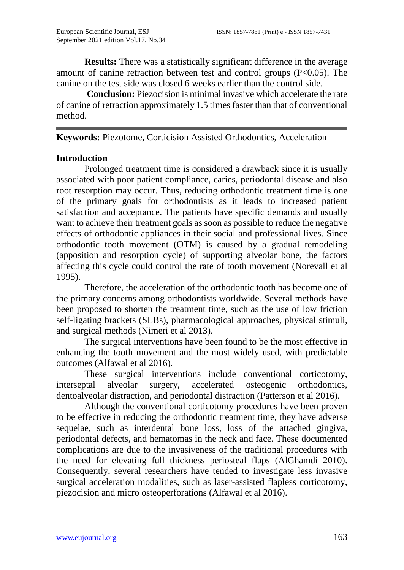**Results:** There was a statistically significant difference in the average amount of canine retraction between test and control groups (P<0.05). The canine on the test side was closed 6 weeks earlier than the control side.

**Conclusion:** Piezocision is minimal invasive which accelerate the rate of canine of retraction approximately 1.5 times faster than that of conventional method.

**Keywords:** Piezotome, Corticision Assisted Orthodontics, Acceleration

#### **Introduction**

Prolonged treatment time is considered a drawback since it is usually associated with poor patient compliance, caries, periodontal disease and also root resorption may occur. Thus, reducing orthodontic treatment time is one of the primary goals for orthodontists as it leads to increased patient satisfaction and acceptance. The patients have specific demands and usually want to achieve their treatment goals as soon as possible to reduce the negative effects of orthodontic appliances in their social and professional lives. Since orthodontic tooth movement (OTM) is caused by a gradual remodeling (apposition and resorption cycle) of supporting alveolar bone, the factors affecting this cycle could control the rate of tooth movement (Norevall et al 1995).

Therefore, the acceleration of the orthodontic tooth has become one of the primary concerns among orthodontists worldwide. Several methods have been proposed to shorten the treatment time, such as the use of low friction self-ligating brackets (SLBs), pharmacological approaches, physical stimuli, and surgical methods (Nimeri et al 2013).

The surgical interventions have been found to be the most effective in enhancing the tooth movement and the most widely used, with predictable outcomes (Alfawal et al 2016).

These surgical interventions include conventional corticotomy, interseptal alveolar surgery, accelerated osteogenic orthodontics, dentoalveolar distraction, and periodontal distraction (Patterson et al 2016).

Although the conventional corticotomy procedures have been proven to be effective in reducing the orthodontic treatment time, they have adverse sequelae, such as interdental bone loss, loss of the attached gingiva, periodontal defects, and hematomas in the neck and face. These documented complications are due to the invasiveness of the traditional procedures with the need for elevating full thickness periosteal flaps (AlGhamdi 2010). Consequently, several researchers have tended to investigate less invasive surgical acceleration modalities, such as laser-assisted flapless corticotomy, piezocision and micro osteoperforations (Alfawal et al 2016).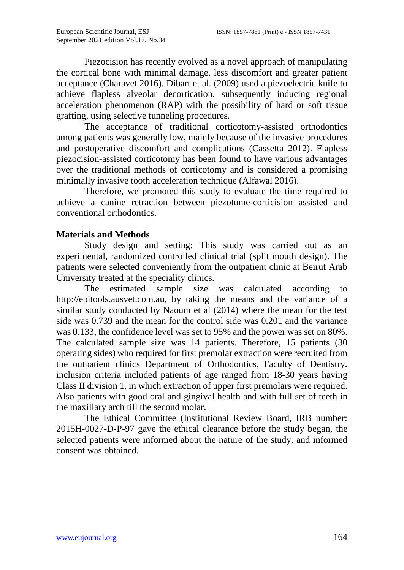Piezocision has recently evolved as a novel approach of manipulating the cortical bone with minimal damage, less discomfort and greater patient acceptance (Charavet 2016). Dibart et al. (2009) used a piezoelectric knife to achieve flapless alveolar decortication, subsequently inducing regional acceleration phenomenon (RAP) with the possibility of hard or soft tissue grafting, using selective tunneling procedures.

The acceptance of traditional corticotomy-assisted orthodontics among patients was generally low, mainly because of the invasive procedures and postoperative discomfort and complications (Cassetta 2012). Flapless piezocision-assisted corticotomy has been found to have various advantages over the traditional methods of corticotomy and is considered a promising minimally invasive tooth acceleration technique (Alfawal 2016).

Therefore, we promoted this study to evaluate the time required to achieve a canine retraction between piezotome-corticision assisted and conventional orthodontics.

# **Materials and Methods**

Study design and setting: This study was carried out as an experimental, randomized controlled clinical trial (split mouth design). The patients were selected conveniently from the outpatient clinic at Beirut Arab University treated at the speciality clinics.

The estimated sample size was calculated according [http://epitools.ausvet.com.au,](http://epitools.ausvet.com.au/) by taking the means and the variance of a similar study conducted by Naoum et al (2014) where the mean for the test side was 0.739 and the mean for the control side was 0.201 and the variance was 0.133, the confidence level was set to 95% and the power was set on 80%. The calculated sample size was 14 patients. Therefore, 15 patients (30 operating sides) who required for first premolar extraction were recruited from the outpatient clinics Department of Orthodontics, Faculty of Dentistry. inclusion criteria included patients of age ranged from 18-30 years having Class II division 1, in which extraction of upper first premolars were required. Also patients with good oral and gingival health and with full set of teeth in the maxillary arch till the second molar.

The Ethical Committee (Institutional Review Board, IRB number: 2015H-0027-D-P-97 gave the ethical clearance before the study began, the selected patients were informed about the nature of the study, and informed consent was obtained.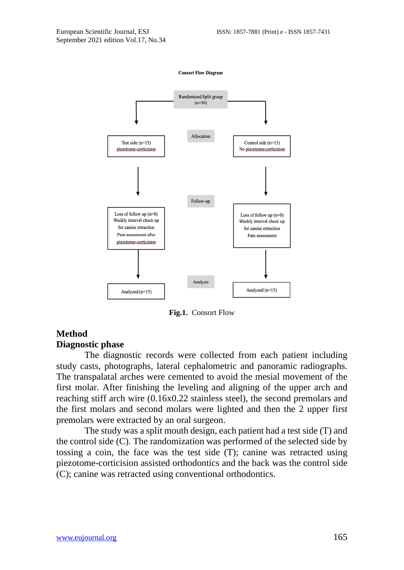

**Fig.1.** Consort Flow

# **Method Diagnostic phase**

The diagnostic records were collected from each patient including study casts, photographs, lateral cephalometric and panoramic radiographs. The transpalatal arches were cemented to avoid the mesial movement of the first molar. After finishing the leveling and aligning of the upper arch and reaching stiff arch wire (0.16x0.22 stainless steel), the second premolars and the first molars and second molars were lighted and then the 2 upper first premolars were extracted by an oral surgeon.

The study was a split mouth design, each patient had a test side (T) and the control side (C). The randomization was performed of the selected side by tossing a coin, the face was the test side (T); canine was retracted using piezotome-corticision assisted orthodontics and the back was the control side (C); canine was retracted using conventional orthodontics.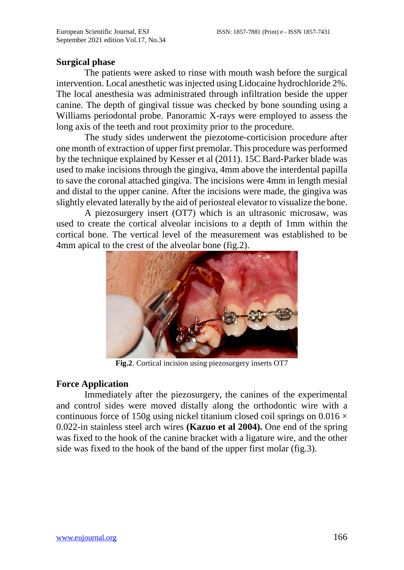#### **Surgical phase**

The patients were asked to rinse with mouth wash before the surgical intervention. Local anesthetic was injected using Lidocaine hydrochloride 2%. The local anesthesia was administrated through infiltration beside the upper canine. The depth of gingival tissue was checked by bone sounding using a Williams periodontal probe. Panoramic X-rays were employed to assess the long axis of the teeth and root proximity prior to the procedure.

The study sides underwent the piezotome-corticision procedure after one month of extraction of upper first premolar. This procedure was performed by the technique explained by Kesser et al (2011). 15C Bard-Parker blade was used to make incisions through the gingiva, 4mm above the interdental papilla to save the coronal attached gingiva. The incisions were 4mm in length mesial and distal to the upper canine. After the incisions were made, the gingiva was slightly elevated laterally by the aid of periosteal elevator to visualize the bone.

A piezosurgery insert (OT7) which is an ultrasonic microsaw, was used to create the cortical alveolar incisions to a depth of 1mm within the cortical bone. The vertical level of the measurement was established to be 4mm apical to the crest of the alveolar bone (fig.2).



**Fig.2**. Cortical incision using piezosurgery inserts OT7

#### **Force Application**

Immediately after the piezosurgery, the canines of the experimental and control sides were moved distally along the orthodontic wire with a continuous force of 150g using nickel titanium closed coil springs on  $0.016 \times$ 0.022-in stainless steel arch wires **(Kazuo et al 2004).** One end of the spring was fixed to the hook of the canine bracket with a ligature wire, and the other side was fixed to the hook of the band of the upper first molar (fig.3).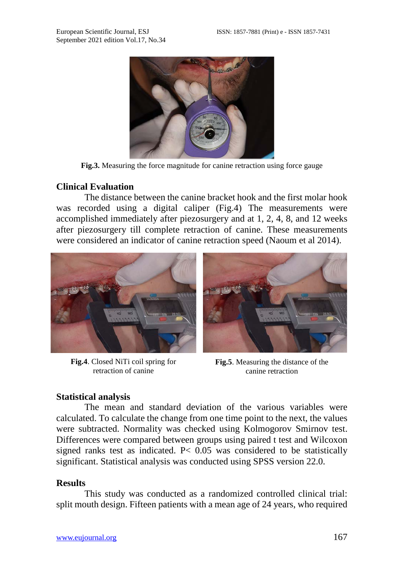

**Fig.3.** Measuring the force magnitude for canine retraction using force gauge

### **Clinical Evaluation**

The distance between the canine bracket hook and the first molar hook was recorded using a digital caliper (Fig.4) The measurements were accomplished immediately after piezosurgery and at 1, 2, 4, 8, and 12 weeks after piezosurgery till complete retraction of canine. These measurements were considered an indicator of canine retraction speed (Naoum et al 2014).



**Fig.4**. Closed NiTi coil spring for retraction of canine

**Fig.5**. Measuring the distance of the canine retraction

# **Statistical analysis**

The mean and standard deviation of the various variables were calculated. To calculate the change from one time point to the next, the values were subtracted. Normality was checked using Kolmogorov Smirnov test. Differences were compared between groups using paired t test and Wilcoxon signed ranks test as indicated. P<  $0.05$  was considered to be statistically significant. Statistical analysis was conducted using SPSS version 22.0.

# **Results**

This study was conducted as a randomized controlled clinical trial: split mouth design. Fifteen patients with a mean age of 24 years, who required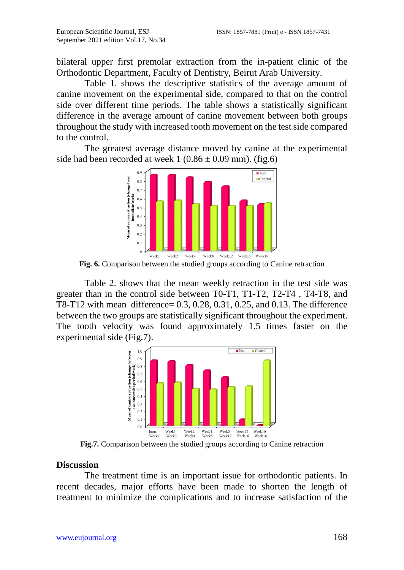bilateral upper first premolar extraction from the in-patient clinic of the Orthodontic Department, Faculty of Dentistry, Beirut Arab University.

Table 1. shows the descriptive statistics of the average amount of canine movement on the experimental side, compared to that on the control side over different time periods. The table shows a statistically significant difference in the average amount of canine movement between both groups throughout the study with increased tooth movement on the test side compared to the control.

The greatest average distance moved by canine at the experimental side had been recorded at week  $1 (0.86 \pm 0.09 \text{ mm})$ . (fig.6)



**Fig. 6.** Comparison between the studied groups according to Canine retraction

Table 2. shows that the mean weekly retraction in the test side was greater than in the control side between T0-T1, T1-T2, T2-T4 , T4-T8, and T8-T12 with mean difference= 0.3, 0.28, 0.31, 0.25, and 0.13. The difference between the two groups are statistically significant throughout the experiment. The tooth velocity was found approximately 1.5 times faster on the experimental side (Fig.7).



**Fig.7.** Comparison between the studied groups according to Canine retraction

#### **Discussion**

The treatment time is an important issue for orthodontic patients. In recent decades, major efforts have been made to shorten the length of treatment to minimize the complications and to increase satisfaction of the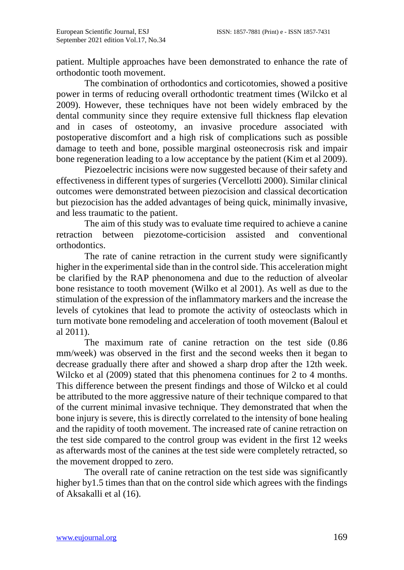patient. Multiple approaches have been demonstrated to enhance the rate of orthodontic tooth movement.

The combination of orthodontics and corticotomies, showed a positive power in terms of reducing overall orthodontic treatment times (Wilcko et al 2009). However, these techniques have not been widely embraced by the dental community since they require extensive full thickness flap elevation and in cases of osteotomy, an invasive procedure associated with postoperative discomfort and a high risk of complications such as possible damage to teeth and bone, possible marginal osteonecrosis risk and impair bone regeneration leading to a low acceptance by the patient (Kim et al 2009).

Piezoelectric incisions were now suggested because of their safety and effectiveness in different types of surgeries (Vercellotti 2000). Similar clinical outcomes were demonstrated between piezocision and classical decortication but piezocision has the added advantages of being quick, minimally invasive, and less traumatic to the patient.

The aim of this study was to evaluate time required to achieve a canine retraction between piezotome-corticision assisted and conventional orthodontics.

The rate of canine retraction in the current study were significantly higher in the experimental side than in the control side. This acceleration might be clarified by the RAP phenonomena and due to the reduction of alveolar bone resistance to tooth movement (Wilko et al 2001). As well as due to the stimulation of the expression of the inflammatory markers and the increase the levels of cytokines that lead to promote the activity of osteoclasts which in turn motivate bone remodeling and acceleration of tooth movement (Baloul et al 2011).

The maximum rate of canine retraction on the test side (0.86 mm/week) was observed in the first and the second weeks then it began to decrease gradually there after and showed a sharp drop after the 12th week. Wilcko et al (2009) stated that this phenomena continues for 2 to 4 months. This difference between the present findings and those of Wilcko et al could be attributed to the more aggressive nature of their technique compared to that of the current minimal invasive technique. They demonstrated that when the bone injury is severe, this is directly correlated to the intensity of bone healing and the rapidity of tooth movement. The increased rate of canine retraction on the test side compared to the control group was evident in the first 12 weeks as afterwards most of the canines at the test side were completely retracted, so the movement dropped to zero.

The overall rate of canine retraction on the test side was significantly higher by1.5 times than that on the control side which agrees with the findings of Aksakalli et al (16).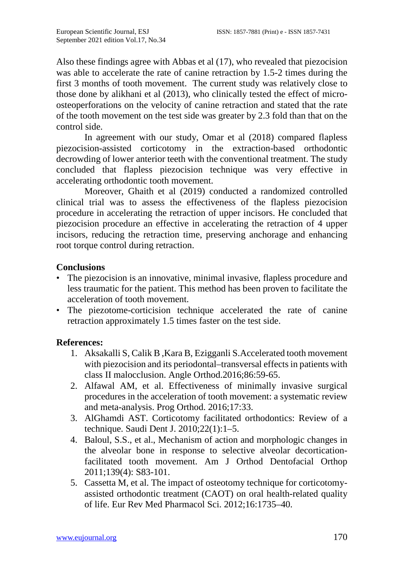Also these findings agree with Abbas et al (17), who revealed that piezocision was able to accelerate the rate of canine retraction by 1.5-2 times during the first 3 months of tooth movement. The current study was relatively close to those done by alikhani et al (2013), who clinically tested the effect of microosteoperforations on the velocity of canine retraction and stated that the rate of the tooth movement on the test side was greater by 2.3 fold than that on the control side.

In agreement with our study, Omar et al (2018) compared flapless piezocision-assisted corticotomy in the extraction-based orthodontic decrowding of lower anterior teeth with the conventional treatment. The study concluded that flapless piezocision technique was very effective in accelerating orthodontic tooth movement.

Moreover, Ghaith et al (2019) conducted a randomized controlled clinical trial was to assess the effectiveness of the flapless piezocision procedure in accelerating the retraction of upper incisors. He concluded that piezocision procedure an effective in accelerating the retraction of 4 upper incisors, reducing the retraction time, preserving anchorage and enhancing root torque control during retraction.

# **Conclusions**

- The piezocision is an innovative, minimal invasive, flapless procedure and less traumatic for the patient. This method has been proven to facilitate the acceleration of tooth movement.
- The piezotome-corticision technique accelerated the rate of canine retraction approximately 1.5 times faster on the test side.

# **References:**

- 1. Aksakalli S, Calik B ,Kara B, Ezigganli S.Accelerated tooth movement with piezocision and its periodontal–transversal effects in patients with class II malocclusion. Angle Orthod.2016;86:59-65.
- 2. Alfawal AM, et al. Effectiveness of minimally invasive surgical procedures in the acceleration of tooth movement: a systematic review and meta-analysis. Prog Orthod. 2016;17:33.
- 3. AlGhamdi AST. Corticotomy facilitated orthodontics: Review of a technique. Saudi Dent J. 2010;22(1):1–5.
- 4. Baloul, S.S., et al., Mechanism of action and morphologic changes in the alveolar bone in response to selective alveolar decorticationfacilitated tooth movement. Am J Orthod Dentofacial Orthop 2011;139(4): S83-101.
- 5. Cassetta M, et al. The impact of osteotomy technique for corticotomyassisted orthodontic treatment (CAOT) on oral health-related quality of life. Eur Rev Med Pharmacol Sci. 2012;16:1735–40.